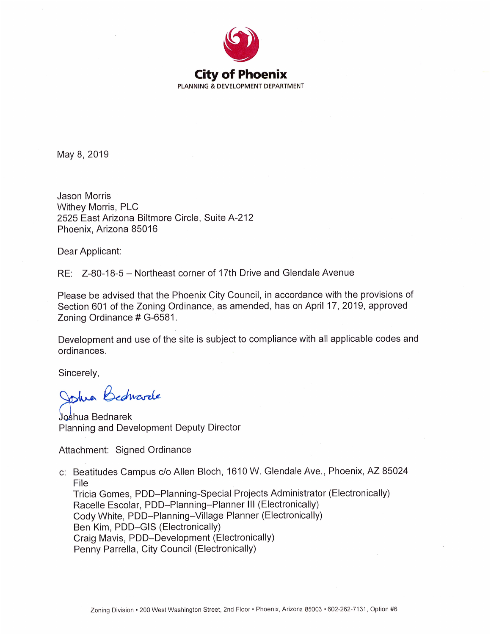

May 8, 2019

**Jason Morris Withey Morris, PLC** 2525 East Arizona Biltmore Circle, Suite A-212 Phoenix, Arizona 85016

Dear Applicant:

RE: Z-80-18-5 - Northeast corner of 17th Drive and Glendale Avenue

Please be advised that the Phoenix City Council, in accordance with the provisions of Section 601 of the Zoning Ordinance, as amended, has on April 17, 2019, approved Zoning Ordinance # G-6581.

Development and use of the site is subject to compliance with all applicable codes and ordinances.

Sincerely,

Johna Bedwarde

Joshua Bednarek Planning and Development Deputy Director

Attachment: Signed Ordinance

c: Beatitudes Campus c/o Allen Bloch, 1610 W. Glendale Ave., Phoenix, AZ 85024 File Tricia Gomes, PDD-Planning-Special Projects Administrator (Electronically) Racelle Escolar, PDD-Planning-Planner III (Electronically) Cody White, PDD-Planning-Village Planner (Electronically) Ben Kim, PDD-GIS (Electronically) Craig Mavis, PDD-Development (Electronically) Penny Parrella, City Council (Electronically)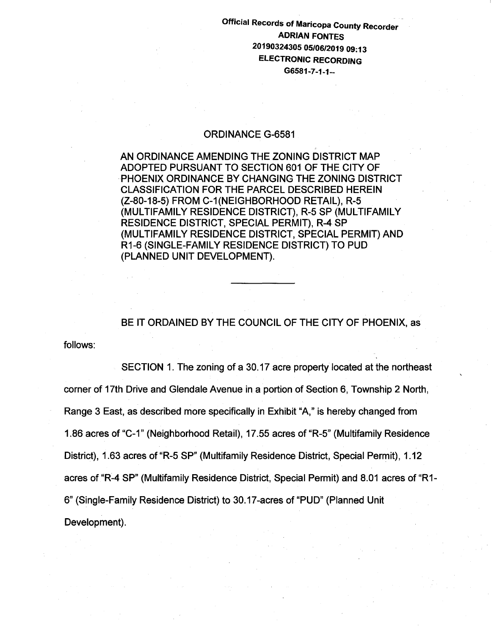## Official Records of Maricopa County Recorder - ADRIAN FONTES 20190324305 05/06/2019 09:13 ELECTRONIC RECORDING G6581-7-1-1--

## ORDINANCE G-6581

AN ORDINANCE AMENDING THE ZONING DISTRICT MAP ADOPTED PURSUANT TO SECTION 601 OF THE CITY OF PHOENIX ORDINANCE BY CHANGING THE ZONING DISTRICT CLASSIFICATION FOR THE PARCEL DESCRIBED HEREIN (Z-80-18-5) FROM C-1(NEIGHBORHOOD RETAIL), R-5 (MULTIFAMILY RESIDENCE DISTRICT), R-5 SP (MULTIFAMILY RESIDENCE DISTRICT, SPECIAL PERMIT), R-4 SP (MULTIFAMILY RESIDENCE DISTRICT, SPECIAL PERMIT) AND R1-6 (SINGLE-FAMILY RESIDENCE DISTRICT) TO PUD (PLANNED UNIT DEVELOPMENT).

BE IT ORDAINED BY THE COUNCIL OF THE CITY OF PHOENIX, as

follows:

SECTION 1. The zoning of a 30.17 acre property located at the northeast corner of 17th Drive and Glendale Avenue in a portion of Section 6, Township 2 North, Range 3 East, as described more specifically in Exhibit "A," is hereby changed from 1.86 acres of "C-1" (Neighborhood Retail), 17.55 acres of "R-5" (Multifamily Residence District), 1.63 acres of "R-5 SP" (Multifamily Residence District, Special Permit), 1.12 acres of "R-4 SP" (Multifamily Residence District, Special Permit) and 8.01 acres of "R1- 6" (Single-Family Residence District) to 30.17-acres of "PUD" (Planned Unit Development).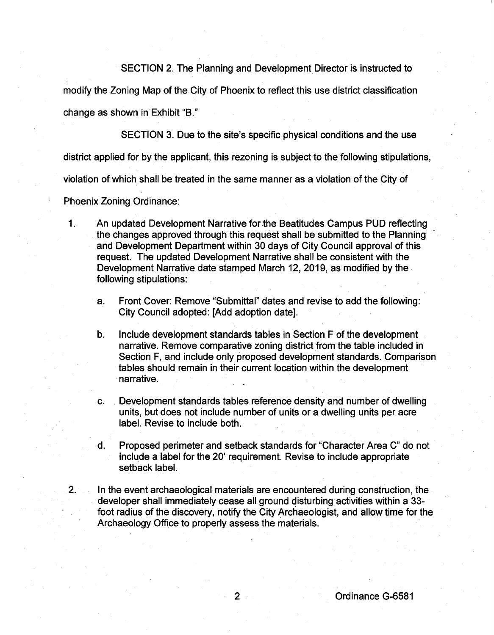SECTION 2. The Planning and Development Director is instructed to

modify the Zoning Map of the City of Phoenix to reflect this use district classification

change as shown in Exhibit "B."

SECTION 3. Due to the site's specific physical conditions and the use

district applied for by the applicant, this rezoning is subject to the following stipulations,

violation of which shall be treated in the same manner as a violation of the City of

Phoenix Zoning Ordinance:

- 1. An updated Development Narrative for the Beatitudes Campus PUD reflecting the changes approved through this request shall be submitted to the Planning and Development Department within 30 days of City Council approval of this request. The updated Development Narrative shall be consistent with the Development Narrative date stamped March 12, 2019, as modified by the. following stipulations:
	- a. Front Cover: Remove "Submittal" dates and revise to add the following: City Council adopted: [Add adoption date].
	- b. Include development standards tables in Section F of the development narrative. Remove comparative zoning district from the table included in Section F, and include only proposed development standards. Comparison tables should remain in their current location within the development narrative.
	- c. Development standards tables reference density and number of dwelling units, but does not include number of units or a dwelling units per acre label. Revise to include both.
	- d. Proposed perimeter and setback standards for "Character Area C" do not include a label for the 20' requirement. Revise to include appropriate setback label.
- 2. In the event archaeological materials are encountered during construction, the developer shall immediately cease all ground disturbing activities within a 33 foot radius of the discovery, notify the City Archaeologist, and allow time for the Archaeology Office to properly assess the materials.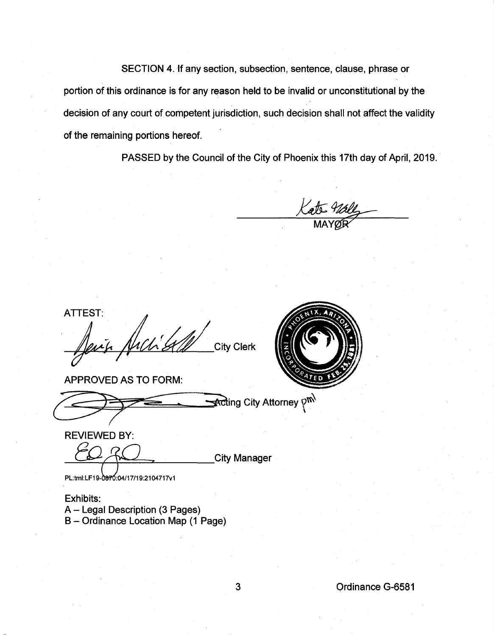SECTION 4. If any section, subsection, sentence, clause, phrase or portion of this ordinance is for any reason held to be invalid or unconstitutional by the decision of any court of competent jurisdiction, such decision shall not affect the validity of the remaining portions hereof.

PASSED by the Council of the City of Phoenix this 17th day of April, 2019.

**ATTEST: City Clerk** 

APPROVED AS TO FORM:

Acting City Attorney  $p^{\mathsf{m}}$ 



**REVIEWED BY:** 

**City Manager** 

PL:tml:LF19-0870:04/17/19:2104717v1

Exhibits: A- Legal Description (3 Pages) B- Ordinance Location Map (1 Page)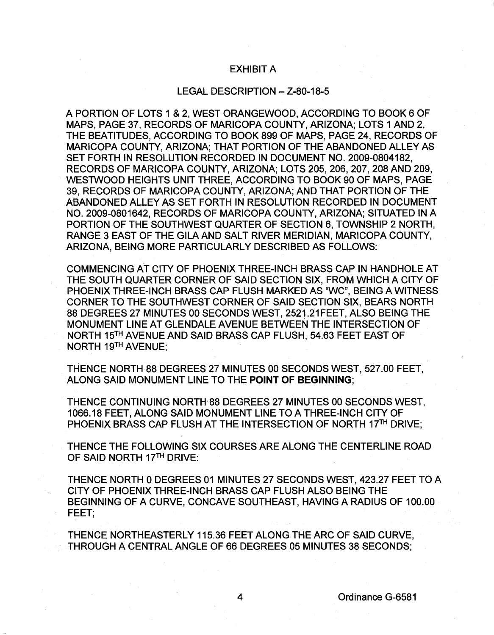## EXHIBIT A

## LEGAL DESCRIPTION- Z-80-18-5

A PORTION OF LOTS 1 & 2, WEST ORANGEWOOD, ACCORDING TO BOOK 6 OF MAPS, PAGE 37, RECORDS OF MARICOPA COUNTY, ARIZONA; LOTS 1 AND 2, THE BEATITUDES, ACCORDING TO BOOK 899 OF MAPS, PAGE 24, RECORDS OF MARICOPA COUNTY, ARIZONA; THAT PORTION OF THE ABANDONED ALLEY AS SET FORTH IN RESOLUTION RECORDED IN DOCUMENT NO. 2009-0804182, RECORDS OF MARICOPA COUNTY, ARIZONA; LOTS 205, 206, 207, 208 AND 209, WESTWOOD HEIGHTS UNIT THREE, ACCORDING TO BOOK 90 OF MAPS, PAGE 39, RECORDS OF MARICOPA COUNTY, ARIZONA; AND THAT PORTION OF THE ABANDONED ALLEY AS SET FORTH IN RESOLUTION RECORDED IN DOCUMENT NO. 2009-0801642, RECORDS OF MARICOPA COUNTY, ARIZONA; SITUATED IN A PORTION OF THE SOUTHWEST QUARTER OF SECTION 6, TOWNSHIP 2 NORTH, RANGE 3 EAST OF THE GILA AND SALT RIVER MERIDIAN, MARICOPA COUNTY, ARIZONA, BEING MORE PARTICULARLY DESCRIBED AS FOLLOWS:

COMMENCING AT CITY OF PHOENIX THREE-INCH BRASS CAP IN HANDHOLE AT THE SOUTH QUARTER CORNER OF SAID SECTION SIX, FROM WHICH A CITY OF PHOENIX THREE-INCH BRASS CAP FLUSH MARKED AS "WC", BEING A WITNESS CORNER TO THE SOUTHWEST CORNER OF SAID SECTION SIX, BEARS NORTH 88 DEGREES 27 MINUTES 00 SECONDS WEST, 2521.21 FEET, ALSO BEING THE MONUMENT LINE AT GLENDALE AVENUE BETWEEN THE INTERSECTION OF NORTH 15TH AVENUE AND SAID BRASS CAP FLUSH, 54.63 FEET EAST OF NORTH 19TH AVENUE;

THENCE NORTH 88 DEGREES 27 MINUTES 00 SECONDS WEST, 527.00 FEET, ALONG SAID MONUMENT LINE TO THE **POINT OF BEGINNING;** 

THENCE CONTINUING NORTH 88 DEGREES 27 MINUTES 00 SECONDS WEST. 1066.18 FEET, ALONG SAID MONUMENT LINE TO A THREE-INCH CITY OF PHOENIX BRASS CAP FLUSH AT THE INTERSECTION OF NORTH 17TH DRIVE;

THENCE THE FOLLOWING SIX COURSES ARE ALONG THE CENTERLINE ROAD OF SAID NORTH 17TH DRIVE:

THENCE NORTH 0 DEGREES 01 MINUTES 27 SECONDS WEST, 423.27 FEET TO A CITY OF PHOENIX THREE-INCH BRASS CAP FLUSH ALSO BEING THE BEGINNING OF A CURVE, CONCAVE SOUTHEAST, HAVING A RADIUS OF 100.00 FEET;

THENCE NORTHEASTERLY 115.36 FEET ALONG THE ARC OF SAID CURVE, THROUGH A CENTRAL ANGLE OF 66 DEGREES 05 MINUTES 38 SECONDS;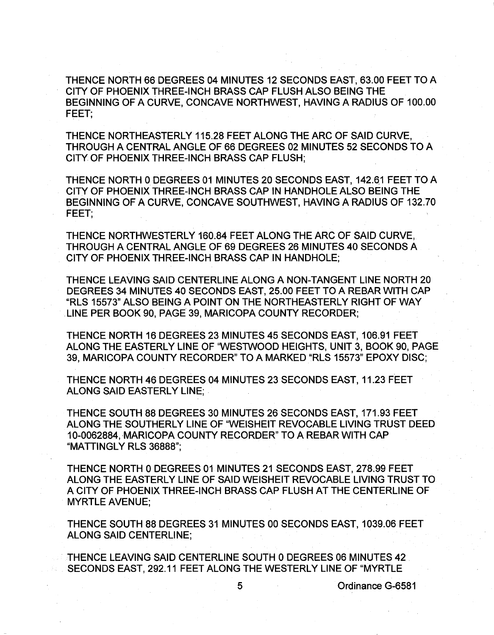THENCE NORTH 66 DEGREES 04 MINUTES 12 SECONDS EAST, 63.00 FEET TO A CITY OF PHOENIX THREE-INCH BRASS CAP FLUSH ALSO BEING THE BEGINNING OF A CURVE, CONCAVE NORTHWEST, HAVING A RADIUS OF 100.00 FEET;

THENCE NORTHEASTERLY 115.28 FEET ALONG THE ARC OF SAID CURVE, THROUGH A CENTRAL ANGLE OF 66 DEGREES 02 MINUTES 52 SECONDS TO A CITY OF PHOENIX THREE-INCH BRASS CAP FLUSH;

THENCE NORTH 0 DEGREES 01 MINUTES 20 SECONDS EAST, 142.61 FEET TO A CITY OF PHOENIX THREE-INCH BRASS CAP IN HANDHOLE ALSO BEING THE BEGINNING OF A CURVE, CONCAVE SOUTHWEST, HAVING A RADIUS OF 132.70 FEET;

THENCE NORTHWESTERLY 160.84 FEET ALONG THE ARC OF SAID CURVE, THROUGH A CENTRAL ANGLE OF 69 DEGREES 26 MINUTES 40 SECONDS A CITY OF PHOENIX THREE-INCH BRASS CAP IN HANDHOLE;

THENCE LEAVING SAID CENTERLINE ALONG A NON-TANGENT LINE NORTH 20 DEGREES 34 MINUTES 40 SECONDS EAST, 25.00 FEET TO A REBAR WITH CAP "RLS 15573" ALSO BEING A POINT ON THE NORTHEASTERLY RIGHT OF WAY . LINE PER BOOK 90, PAGE 39, MARICOPA COUNTY RECORDER;

THENCE NORTH 16 DEGREES 23 MINUTES 45 SECONDS EAST, 106.91 FEET ALONG THE EASTERLY LINE OF 'WESTWOOD HEIGHTS, UNIT 3, BOOK 90, PAGE 39, MARICOPA COUNTY RECORDER" TO A MARKED "RLS 15573" EPOXY DISC;

THENCE NORTH 46 DEGREES 04 MINUTES 23 SECONDS EAST, 11.23 FEET ALONG SAID EASTERLY LINE;

THENCE SOUTH 88 DEGREES 30 MINUTES 26 SECONDS EAST, 171.93 FEET ALONG THE SOUTHERLY LINE OF "WEISHEIT REVOCABLE LIVING TRUST DEED 10-0062884, MARICOPA COUNTY RECORDER" TO A REBAR WITH CAP "MATTINGLY RLS 36888";

THENCE NORTH 0 DEGREES 01 MINUTES 21 SECONDS EAST, 278.99 FEET ALONG THE EASTERLY LINE OF SAID WEISHEIT REVOCABLE LIVING TRUST TO A CITY OF PHOENIX THREE-INCH BRASS CAP FLUSH AT THE CENTERLINE OF MYRTLE AVENUE;

THENCE SOUTH 88 DEGREES 31 MINUTES 00 SECONDS EAST, 1039.06 FEET ALONG SAID CENTERLINE;

THENCE LEAVING SAID CENTERLINE SOUTH 0 DEGREES 06 MINUTES 42 SECONDS EAST, 292.11 FEET ALONG THE WESTERLY LINE OF "MYRTLE

5 Ordinance G-6581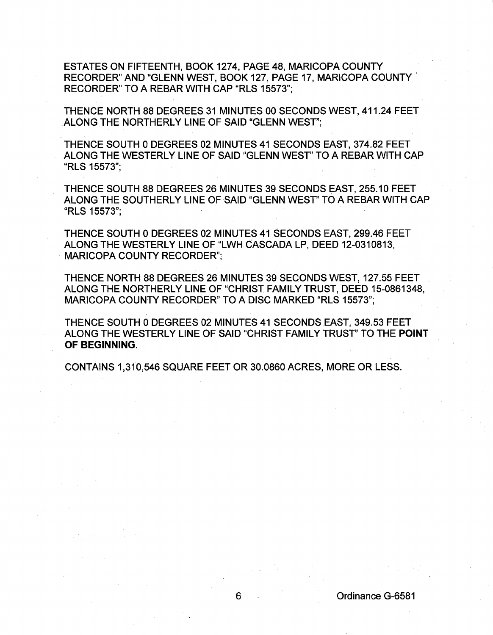ESTATES ON FIFTEENTH, BOOK 1274, PAGE 48, MARICOPA COUNTY RECORDER" AND "GLENN WEST, BOOK 127, PAGE 17, MARICOPA COUNTY. RECORDER" TO A REBAR WITH CAP "RLS 15573";

THENCE NORTH 88 DEGREES 31 MINUTES 00 SECONDS WEST, 411.24 FEET ALONG THE NORTHERLY LINE OF SAID "GLENN WEST";

THENCE SOUTH 0 DEGREES 02 MINUTES 41 SECONDS EAST, 374.82 FEET ALONG THE WESTERLY LINE OF SAID "GLENN WEST" TO A REBAR WITH CAP "RLS 15573";

THENCE SOUTH 88 DEGREES 26 MINUTES 39 SECONDS EAST, 255.10 FEET ALONG THE SOUTHERLY LINE OF SAID "GLENN WEST" TO A REBAR WITH CAP "RLS 15573";

THENCE SOUTH 0 DEGREES 02 MINUTES 41 SECONDS EAST, 299.46 FEET ALONG THE WESTERLY LINE OF "LWH CASCADA LP, DEED 12-0310813, MARICOPA COUNTY RECORDER";

THENCE NORTH 88 DEGREES 26 MINUTES 39 SECONDS WEST, 127.55 FEET ALONG THE NORTHERLY LINE OF "CHRIST FAMILY TRUST, DEED 15-0861348, MARICOPA COUNTY RECORDER" TO A DISC MARKED "RLS 15573";

THENCE SOUTH 0 DEGREES 02 MINUTES 41 SECONDS EAST, 349.53 FEET ALONG THE WESTERLY LINE OF SAID "CHRIST FAMILY TRUST' TO THE POINT OF BEGINNING.

CONTAINS 1,310,546 SQUARE FEET OR 30.0860 ACRES, MORE OR LESS.